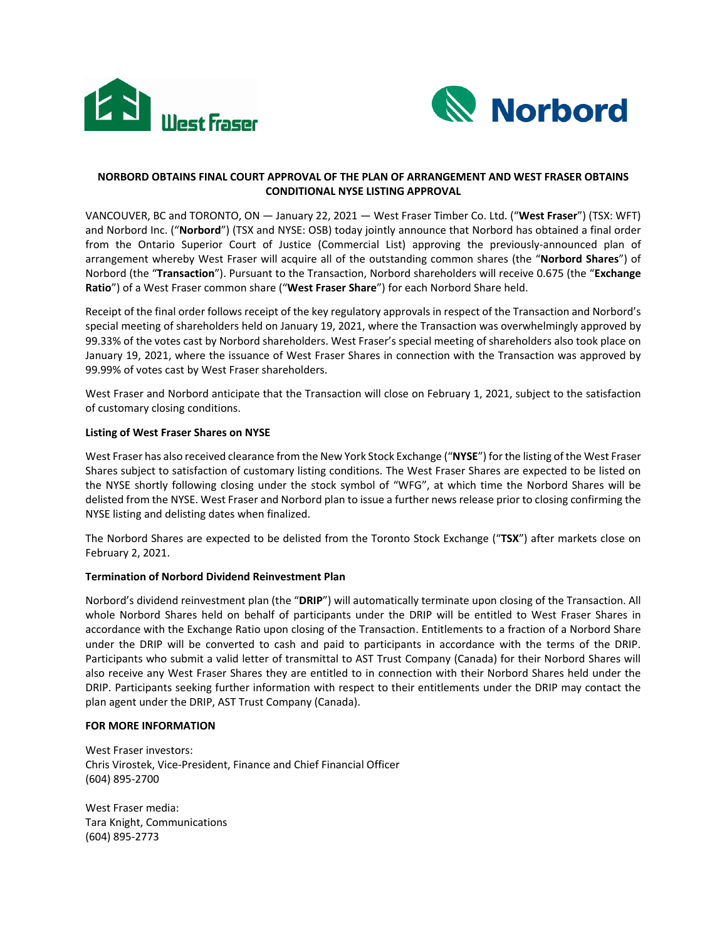



# **NORBORD OBTAINS FINAL COURT APPROVAL OF THE PLAN OF ARRANGEMENT AND WEST FRASER OBTAINS CONDITIONAL NYSE LISTING APPROVAL**

VANCOUVER, BC and TORONTO, ON — January 22, 2021 — West Fraser Timber Co. Ltd. ("**West Fraser**") (TSX: WFT) and Norbord Inc. ("**Norbord**") (TSX and NYSE: OSB) today jointly announce that Norbord has obtained a final order from the Ontario Superior Court of Justice (Commercial List) approving the previously-announced plan of arrangement whereby West Fraser will acquire all of the outstanding common shares (the "**Norbord Shares**") of Norbord (the "**Transaction**"). Pursuant to the Transaction, Norbord shareholders will receive 0.675 (the "**Exchange Ratio**") of a West Fraser common share ("**West Fraser Share**") for each Norbord Share held.

Receipt of the final order follows receipt of the key regulatory approvals in respect of the Transaction and Norbord's special meeting of shareholders held on January 19, 2021, where the Transaction was overwhelmingly approved by 99.33% of the votes cast by Norbord shareholders. West Fraser's special meeting of shareholders also took place on January 19, 2021, where the issuance of West Fraser Shares in connection with the Transaction was approved by 99.99% of votes cast by West Fraser shareholders.

West Fraser and Norbord anticipate that the Transaction will close on February 1, 2021, subject to the satisfaction of customary closing conditions.

## **Listing of West Fraser Shares on NYSE**

West Fraser has also received clearance from the New York Stock Exchange ("**NYSE**") for the listing of the West Fraser Shares subject to satisfaction of customary listing conditions. The West Fraser Shares are expected to be listed on the NYSE shortly following closing under the stock symbol of "WFG", at which time the Norbord Shares will be delisted from the NYSE. West Fraser and Norbord plan to issue a further news release prior to closing confirming the NYSE listing and delisting dates when finalized.

The Norbord Shares are expected to be delisted from the Toronto Stock Exchange ("**TSX**") after markets close on February 2, 2021.

### **Termination of Norbord Dividend Reinvestment Plan**

Norbord's dividend reinvestment plan (the "**DRIP**") will automatically terminate upon closing of the Transaction. All whole Norbord Shares held on behalf of participants under the DRIP will be entitled to West Fraser Shares in accordance with the Exchange Ratio upon closing of the Transaction. Entitlements to a fraction of a Norbord Share under the DRIP will be converted to cash and paid to participants in accordance with the terms of the DRIP. Participants who submit a valid letter of transmittal to AST Trust Company (Canada) for their Norbord Shares will also receive any West Fraser Shares they are entitled to in connection with their Norbord Shares held under the DRIP. Participants seeking further information with respect to their entitlements under the DRIP may contact the plan agent under the DRIP, AST Trust Company (Canada).

### **FOR MORE INFORMATION**

West Fraser investors: Chris Virostek, Vice-President, Finance and Chief Financial Officer (604) 895-2700

West Fraser media: Tara Knight, Communications (604) 895-2773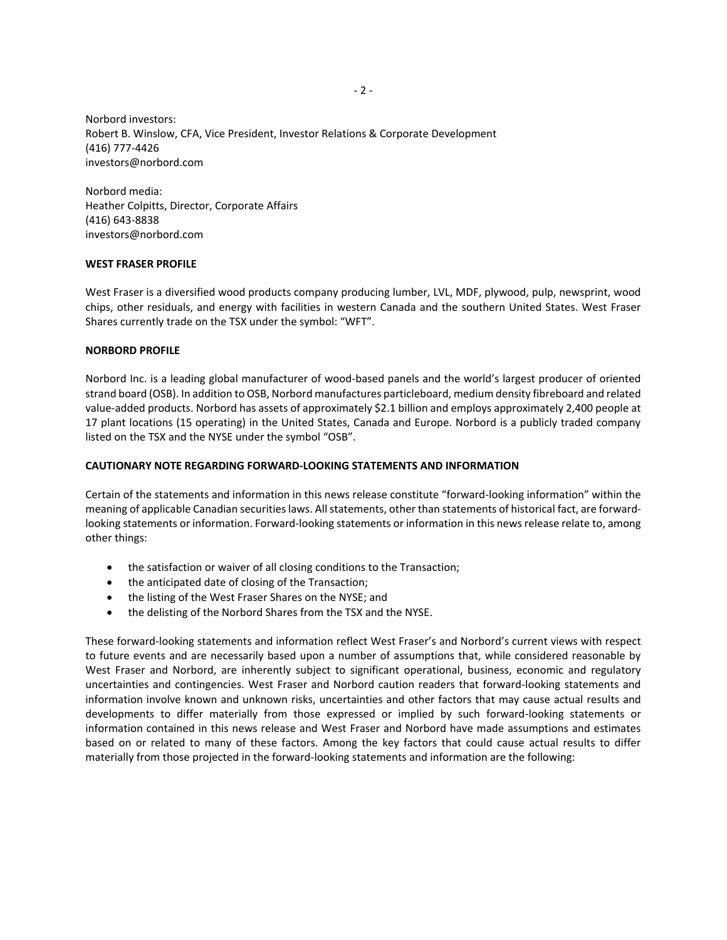Norbord investors: Robert B. Winslow, CFA, Vice President, Investor Relations & Corporate Development (416) 777-4426 investors@norbord.com

Norbord media: Heather Colpitts, Director, Corporate Affairs (416) 643-8838 investors@norbord.com

### **WEST FRASER PROFILE**

West Fraser is a diversified wood products company producing lumber, LVL, MDF, plywood, pulp, newsprint, wood chips, other residuals, and energy with facilities in western Canada and the southern United States. West Fraser Shares currently trade on the TSX under the symbol: "WFT".

#### **NORBORD PROFILE**

Norbord Inc. is a leading global manufacturer of wood-based panels and the world's largest producer of oriented strand board (OSB). In addition to OSB, Norbord manufactures particleboard, medium density fibreboard and related value-added products. Norbord has assets of approximately \$2.1 billion and employs approximately 2,400 people at 17 plant locations (15 operating) in the United States, Canada and Europe. Norbord is a publicly traded company listed on the TSX and the NYSE under the symbol "OSB".

### **CAUTIONARY NOTE REGARDING FORWARD-LOOKING STATEMENTS AND INFORMATION**

Certain of the statements and information in this news release constitute "forward-looking information" within the meaning of applicable Canadian securities laws. All statements, other than statements of historical fact, are forwardlooking statements or information. Forward-looking statements or information in this news release relate to, among other things:

- the satisfaction or waiver of all closing conditions to the Transaction;
- the anticipated date of closing of the Transaction;
- the listing of the West Fraser Shares on the NYSE; and
- the delisting of the Norbord Shares from the TSX and the NYSE.

These forward-looking statements and information reflect West Fraser's and Norbord's current views with respect to future events and are necessarily based upon a number of assumptions that, while considered reasonable by West Fraser and Norbord, are inherently subject to significant operational, business, economic and regulatory uncertainties and contingencies. West Fraser and Norbord caution readers that forward-looking statements and information involve known and unknown risks, uncertainties and other factors that may cause actual results and developments to differ materially from those expressed or implied by such forward-looking statements or information contained in this news release and West Fraser and Norbord have made assumptions and estimates based on or related to many of these factors. Among the key factors that could cause actual results to differ materially from those projected in the forward-looking statements and information are the following: